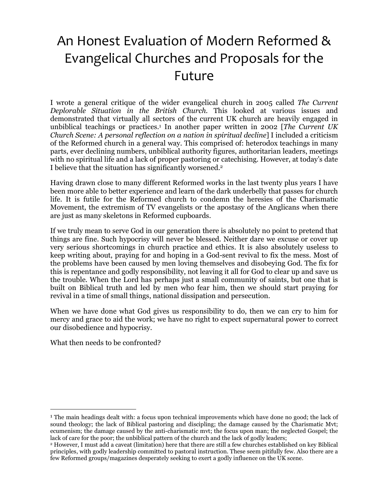# An Honest Evaluation of Modern Reformed & Evangelical Churches and Proposals for the Future

I wrote a general critique of the wider evangelical church in 2005 called *The Current Deplorable Situation in the British Church.* This looked at various issues and demonstrated that virtually all sectors of the current UK church are heavily engaged in unbiblical teachings or practices.<sup>1</sup> In another paper written in 2002 [*The Current UK Church Scene: A personal reflection on a nation in spiritual decline*] I included a criticism of the Reformed church in a general way. This comprised of: heterodox teachings in many parts, ever declining numbers, unbiblical authority figures, authoritarian leaders, meetings with no spiritual life and a lack of proper pastoring or catechising. However, at today's date I believe that the situation has significantly worsened.<sup>2</sup>

Having drawn close to many different Reformed works in the last twenty plus years I have been more able to better experience and learn of the dark underbelly that passes for church life. It is futile for the Reformed church to condemn the heresies of the Charismatic Movement, the extremism of TV evangelists or the apostasy of the Anglicans when there are just as many skeletons in Reformed cupboards.

If we truly mean to serve God in our generation there is absolutely no point to pretend that things are fine. Such hypocrisy will never be blessed. Neither dare we excuse or cover up very serious shortcomings in church practice and ethics. It is also absolutely useless to keep writing about, praying for and hoping in a God-sent revival to fix the mess. Most of the problems have been caused by men loving themselves and disobeying God. The fix for this is repentance and godly responsibility, not leaving it all for God to clear up and save us the trouble. When the Lord has perhaps just a small community of saints, but one that is built on Biblical truth and led by men who fear him, then we should start praying for revival in a time of small things, national dissipation and persecution.

When we have done what God gives us responsibility to do, then we can cry to him for mercy and grace to aid the work; we have no right to expect supernatural power to correct our disobedience and hypocrisy.

What then needs to be confronted?

 $\overline{a}$ 

<sup>&</sup>lt;sup>1</sup> The main headings dealt with: a focus upon technical improvements which have done no good; the lack of sound theology; the lack of Biblical pastoring and discipling; the damage caused by the Charismatic Mvt; ecumenism; the damage caused by the anti-charismatic mvt; the focus upon man; the neglected Gospel; the lack of care for the poor; the unbiblical pattern of the church and the lack of godly leaders;

<sup>2</sup> However, I must add a caveat (limitation) here that there are still a few churches established on key Biblical principles, with godly leadership committed to pastoral instruction. These seem pitifully few. Also there are a few Reformed groups/magazines desperately seeking to exert a godly influence on the UK scene.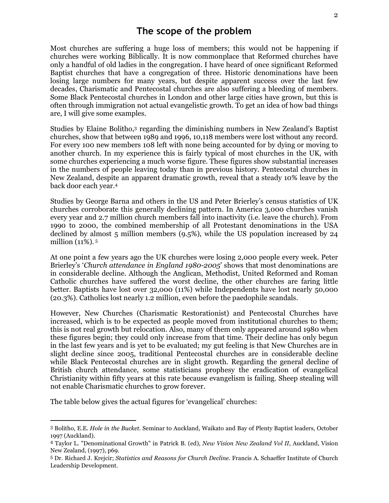Most churches are suffering a huge loss of members; this would not be happening if churches were working Biblically. It is now commonplace that Reformed churches have only a handful of old ladies in the congregation. I have heard of once significant Reformed Baptist churches that have a congregation of three. Historic denominations have been losing large numbers for many years, but despite apparent success over the last few decades, Charismatic and Pentecostal churches are also suffering a bleeding of members. Some Black Pentecostal churches in London and other large cities have grown, but this is often through immigration not actual evangelistic growth. To get an idea of how bad things are, I will give some examples.

Studies by Elaine Bolitho,3 regarding the diminishing numbers in New Zealand's Baptist churches, show that between 1989 and 1996, 10,118 members were lost without any record. For every 100 new members 108 left with none being accounted for by dying or moving to another church. In my experience this is fairly typical of most churches in the UK, with some churches experiencing a much worse figure. These figures show substantial increases in the numbers of people leaving today than in previous history. Pentecostal churches in New Zealand, despite an apparent dramatic growth, reveal that a steady 10% leave by the back door each year.<sup>4</sup>

Studies by George Barna and others in the US and Peter Brierley's census statistics of UK churches corroborate this generally declining pattern. In America 3,000 churches vanish every year and 2.7 million church members fall into inactivity (i.e. leave the church). From 1990 to 2000, the combined membership of all Protestant denominations in the USA declined by almost 5 million members (9.5%), while the US population increased by 24 million (11%).<sup>5</sup>

At one point a few years ago the UK churches were losing 2,000 people every week. Peter Brierley's '*Church attendance in England 1980-2005*' shows that most denominations are in considerable decline. Although the Anglican, Methodist, United Reformed and Roman Catholic churches have suffered the worst decline, the other churches are faring little better. Baptists have lost over 32,000 (11%) while Independents have lost nearly 50,000 (20.3%). Catholics lost nearly 1.2 million, even before the paedophile scandals.

However, New Churches (Charismatic Restorationist) and Pentecostal Churches have increased, which is to be expected as people moved from institutional churches to them; this is not real growth but relocation. Also, many of them only appeared around 1980 when these figures begin; they could only increase from that time. Their decline has only begun in the last few years and is yet to be evaluated; my gut feeling is that New Churches are in slight decline since 2005, traditional Pentecostal churches are in considerable decline while Black Pentecostal churches are in slight growth. Regarding the general decline of British church attendance, some statisticians prophesy the eradication of evangelical Christianity within fifty years at this rate because evangelism is failing. Sheep stealing will not enable Charismatic churches to grow forever.

The table below gives the actual figures for 'evangelical' churches:

 $\ddot{\phantom{a}}$ 

<sup>3</sup> Bolitho, E.E. *Hole in the Bucket*. Seminar to Auckland, Waikato and Bay of Plenty Baptist leaders, October 1997 (Auckland).

<sup>4</sup> Taylor L. "Denominational Growth" in Patrick B. (ed), *New Vision New Zealand Vol II*, Auckland, Vision New Zealand, (1997), p69.

<sup>5</sup> Dr. Richard J. Krejcir; *Statistics and Reasons for Church Decline*. Francis A. Schaeffer Institute of Church Leadership Development.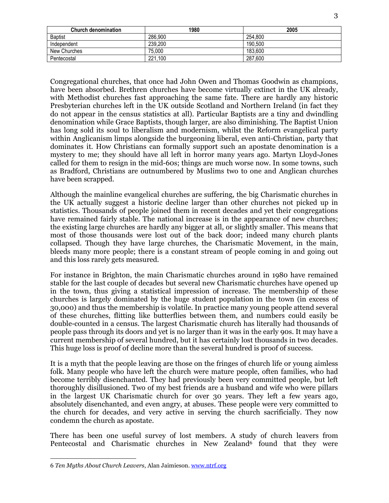| <b>Church denomination</b> | 1980    | 2005    |
|----------------------------|---------|---------|
| <b>Baptist</b>             | 286.900 | 254.800 |
| Independent                | 239,200 | 190,500 |
| New Churches               | 75.000  | 183.600 |
| Pentecostal                | 221.100 | 287.600 |

Congregational churches, that once had John Owen and Thomas Goodwin as champions, have been absorbed. Brethren churches have become virtually extinct in the UK already, with Methodist churches fast approaching the same fate. There are hardly any historic Presbyterian churches left in the UK outside Scotland and Northern Ireland (in fact they do not appear in the census statistics at all). Particular Baptists are a tiny and dwindling denomination while Grace Baptists, though larger, are also diminishing. The Baptist Union has long sold its soul to liberalism and modernism, whilst the Reform evangelical party within Anglicanism limps alongside the burgeoning liberal, even anti-Christian, party that dominates it. How Christians can formally support such an apostate denomination is a mystery to me; they should have all left in horror many years ago. Martyn Lloyd-Jones called for them to resign in the mid-60s; things are much worse now. In some towns, such as Bradford, Christians are outnumbered by Muslims two to one and Anglican churches have been scrapped.

Although the mainline evangelical churches are suffering, the big Charismatic churches in the UK actually suggest a historic decline larger than other churches not picked up in statistics. Thousands of people joined them in recent decades and yet their congregations have remained fairly stable. The national increase is in the appearance of new churches; the existing large churches are hardly any bigger at all, or slightly smaller. This means that most of those thousands were lost out of the back door; indeed many church plants collapsed. Though they have large churches, the Charismatic Movement, in the main, bleeds many more people; there is a constant stream of people coming in and going out and this loss rarely gets measured.

For instance in Brighton, the main Charismatic churches around in 1980 have remained stable for the last couple of decades but several new Charismatic churches have opened up in the town, thus giving a statistical impression of increase. The membership of these churches is largely dominated by the huge student population in the town (in excess of 30,000) and thus the membership is volatile. In practice many young people attend several of these churches, flitting like butterflies between them, and numbers could easily be double-counted in a census. The largest Charismatic church has literally had thousands of people pass through its doors and yet is no larger than it was in the early 90s. It may have a current membership of several hundred, but it has certainly lost thousands in two decades. This huge loss is proof of decline more than the several hundred is proof of success.

It is a myth that the people leaving are those on the fringes of church life or young aimless folk. Many people who have left the church were mature people, often families, who had become terribly disenchanted. They had previously been very committed people, but left thoroughly disillusioned. Two of my best friends are a husband and wife who were pillars in the largest UK Charismatic church for over 30 years. They left a few years ago, absolutely disenchanted, and even angry, at abuses. These people were very committed to the church for decades, and very active in serving the church sacrificially. They now condemn the church as apostate.

There has been one useful survey of lost members. A study of church leavers from Pentecostal and Charismatic churches in New Zealand<sup>6</sup> found that they were

 $\ddot{\phantom{a}}$ 6 *Ten Myths About Church Leavers*, Alan Jaimieson. www.ntrf.org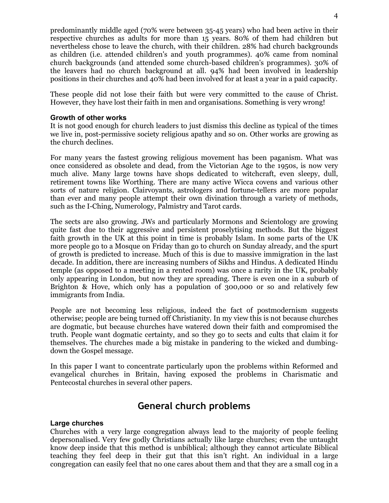predominantly middle aged (70% were between 35-45 years) who had been active in their respective churches as adults for more than 15 years. 80% of them had children but nevertheless chose to leave the church, with their children. 28% had church backgrounds as children (i.e. attended children's and youth programmes). 40% came from nominal church backgrounds (and attended some church-based children's programmes). 30% of the leavers had no church background at all. 94% had been involved in leadership positions in their churches and 40% had been involved for at least a year in a paid capacity.

These people did not lose their faith but were very committed to the cause of Christ. However, they have lost their faith in men and organisations. Something is very wrong!

#### **Growth of other works**

It is not good enough for church leaders to just dismiss this decline as typical of the times we live in, post-permissive society religious apathy and so on. Other works are growing as the church declines.

For many years the fastest growing religious movement has been paganism. What was once considered as obsolete and dead, from the Victorian Age to the 1950s, is now very much alive. Many large towns have shops dedicated to witchcraft, even sleepy, dull, retirement towns like Worthing. There are many active Wicca covens and various other sorts of nature religion. Clairvoyants, astrologers and fortune-tellers are more popular than ever and many people attempt their own divination through a variety of methods, such as the I-Ching, Numerology, Palmistry and Tarot cards.

The sects are also growing. JWs and particularly Mormons and Scientology are growing quite fast due to their aggressive and persistent proselytising methods. But the biggest faith growth in the UK at this point in time is probably Islam. In some parts of the UK more people go to a Mosque on Friday than go to church on Sunday already, and the spurt of growth is predicted to increase. Much of this is due to massive immigration in the last decade. In addition, there are increasing numbers of Sikhs and Hindus. A dedicated Hindu temple (as opposed to a meeting in a rented room) was once a rarity in the UK, probably only appearing in London, but now they are spreading. There is even one in a suburb of Brighton & Hove, which only has a population of 300,000 or so and relatively few immigrants from India.

People are not becoming less religious, indeed the fact of postmodernism suggests otherwise; people are being turned off Christianity. In my view this is not because churches are dogmatic, but because churches have watered down their faith and compromised the truth. People want dogmatic certainty, and so they go to sects and cults that claim it for themselves. The churches made a big mistake in pandering to the wicked and dumbingdown the Gospel message.

In this paper I want to concentrate particularly upon the problems within Reformed and evangelical churches in Britain, having exposed the problems in Charismatic and Pentecostal churches in several other papers.

## **General church problems**

#### **Large churches**

Churches with a very large congregation always lead to the majority of people feeling depersonalised. Very few godly Christians actually like large churches; even the untaught know deep inside that this method is unbiblical; although they cannot articulate Biblical teaching they feel deep in their gut that this isn't right. An individual in a large congregation can easily feel that no one cares about them and that they are a small cog in a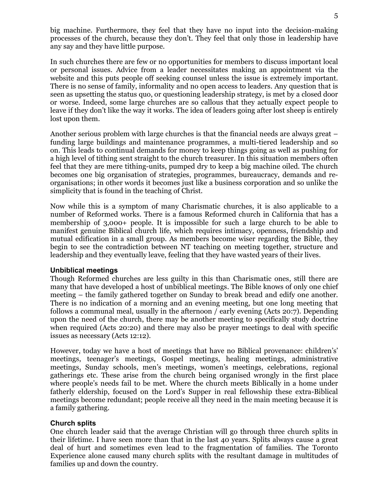big machine. Furthermore, they feel that they have no input into the decision-making processes of the church, because they don't. They feel that only those in leadership have any say and they have little purpose.

In such churches there are few or no opportunities for members to discuss important local or personal issues. Advice from a leader necessitates making an appointment via the website and this puts people off seeking counsel unless the issue is extremely important. There is no sense of family, informality and no open access to leaders. Any question that is seen as upsetting the status quo, or questioning leadership strategy, is met by a closed door or worse. Indeed, some large churches are so callous that they actually expect people to leave if they don't like the way it works. The idea of leaders going after lost sheep is entirely lost upon them.

Another serious problem with large churches is that the financial needs are always great – funding large buildings and maintenance programmes, a multi-tiered leadership and so on. This leads to continual demands for money to keep things going as well as pushing for a high level of tithing sent straight to the church treasurer. In this situation members often feel that they are mere tithing-units, pumped dry to keep a big machine oiled. The church becomes one big organisation of strategies, programmes, bureaucracy, demands and reorganisations; in other words it becomes just like a business corporation and so unlike the simplicity that is found in the teaching of Christ.

Now while this is a symptom of many Charismatic churches, it is also applicable to a number of Reformed works. There is a famous Reformed church in California that has a membership of 3,000+ people. It is impossible for such a large church to be able to manifest genuine Biblical church life, which requires intimacy, openness, friendship and mutual edification in a small group. As members become wiser regarding the Bible, they begin to see the contradiction between NT teaching on meeting together, structure and leadership and they eventually leave, feeling that they have wasted years of their lives.

#### **Unbiblical meetings**

Though Reformed churches are less guilty in this than Charismatic ones, still there are many that have developed a host of unbiblical meetings. The Bible knows of only one chief meeting – the family gathered together on Sunday to break bread and edify one another. There is no indication of a morning and an evening meeting, but one long meeting that follows a communal meal, usually in the afternoon / early evening (Acts 20:7). Depending upon the need of the church, there may be another meeting to specifically study doctrine when required (Acts 20:20) and there may also be prayer meetings to deal with specific issues as necessary (Acts 12:12).

However, today we have a host of meetings that have no Biblical provenance: children's' meetings, teenager's meetings, Gospel meetings, healing meetings, administrative meetings, Sunday schools, men's meetings, women's meetings, celebrations, regional gatherings etc. These arise from the church being organised wrongly in the first place where people's needs fail to be met. Where the church meets Biblically in a home under fatherly eldership, focused on the Lord's Supper in real fellowship these extra-Biblical meetings become redundant; people receive all they need in the main meeting because it is a family gathering.

#### **Church splits**

One church leader said that the average Christian will go through three church splits in their lifetime. I have seen more than that in the last 40 years. Splits always cause a great deal of hurt and sometimes even lead to the fragmentation of families. The Toronto Experience alone caused many church splits with the resultant damage in multitudes of families up and down the country.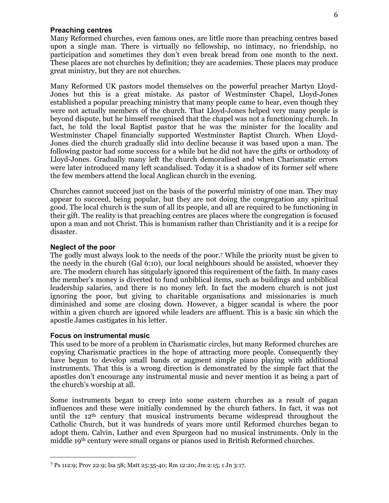#### **Preaching centres**

Many Reformed churches, even famous ones, are little more than preaching centres based upon a single man. There is virtually no fellowship, no intimacy, no friendship, no participation and sometimes they don't even break bread from one month to the next. These places are not churches by definition; they are academies. These places may produce great ministry, but they are not churches.

Many Reformed UK pastors model themselves on the powerful preacher Martyn Lloyd-Jones but this is a great mistake. As pastor of Westminster Chapel, Lloyd-Jones established a popular preaching ministry that many people came to hear, even though they were not actually members of the church. That Lloyd-Jones helped very many people is beyond dispute, but he himself recognised that the chapel was not a functioning church. In fact, he told the local Baptist pastor that he was the minister for the locality and Westminster Chapel financially supported Westminster Baptist Church. When Lloyd-Jones died the church gradually slid into decline because it was based upon a man. The following pastor had some success for a while but he did not have the gifts or orthodoxy of Lloyd-Jones. Gradually many left the church demoralised and when Charismatic errors were later introduced many left scandalised. Today it is a shadow of its former self where the few members attend the local Anglican church in the evening.

Churches cannot succeed just on the basis of the powerful ministry of one man. They may appear to succeed, being popular, but they are not doing the congregation any spiritual good. The local church is the sum of all its people, and all are required to be functioning in their gift. The reality is that preaching centres are places where the congregation is focused upon a man and not Christ. This is humanism rather than Christianity and it is a recipe for disaster.

#### **Neglect of the poor**

The godly must always look to the needs of the poor. <sup>7</sup> While the priority must be given to the needy in the church (Gal 6:10), our local neighbours should be assisted, whoever they are. The modern church has singularly ignored this requirement of the faith. In many cases the member's money is diverted to fund unbiblical items, such as buildings and unbiblical leadership salaries, and there is no money left. In fact the modern church is not just ignoring the poor, but giving to charitable organisations and missionaries is much diminished and some are closing down. However, a bigger scandal is where the poor within a given church are ignored while leaders are affluent. This is a basic sin which the apostle James castigates in his letter.

#### **Focus on instrumental music**

**-**

This used to be more of a problem in Charismatic circles, but many Reformed churches are copying Charismatic practices in the hope of attracting more people. Consequently they have begun to develop small bands or augment simple piano playing with additional instruments. That this is a wrong direction is demonstrated by the simple fact that the apostles don't encourage any instrumental music and never mention it as being a part of the church's worship at all.

Some instruments began to creep into some eastern churches as a result of pagan influences and these were initially condemned by the church fathers. In fact, it was not until the 12th century that musical instruments became widespread throughout the Catholic Church, but it was hundreds of years more until Reformed churches began to adopt them. Calvin, Luther and even Spurgeon had no musical instruments. Only in the middle 19th century were small organs or pianos used in British Reformed churches.

<sup>7</sup> Ps 112:9; Prov 22:9; Isa 58; Matt 25:35-40; Rm 12:20; Jm 2:15; 1 Jn 3:17.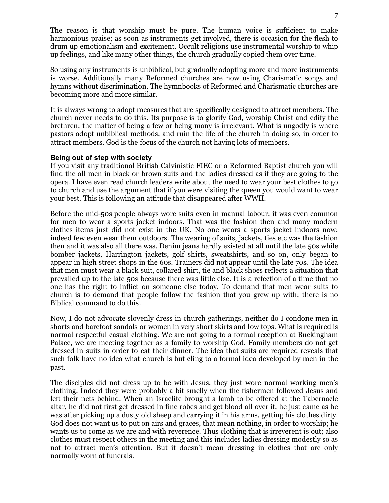The reason is that worship must be pure. The human voice is sufficient to make harmonious praise; as soon as instruments get involved, there is occasion for the flesh to drum up emotionalism and excitement. Occult religions use instrumental worship to whip up feelings, and like many other things, the church gradually copied them over time.

So using any instruments is unbiblical, but gradually adopting more and more instruments is worse. Additionally many Reformed churches are now using Charismatic songs and hymns without discrimination. The hymnbooks of Reformed and Charismatic churches are becoming more and more similar.

It is always wrong to adopt measures that are specifically designed to attract members. The church never needs to do this. Its purpose is to glorify God, worship Christ and edify the brethren; the matter of being a few or being many is irrelevant. What is ungodly is where pastors adopt unbiblical methods, and ruin the life of the church in doing so, in order to attract members. God is the focus of the church not having lots of members.

#### **Being out of step with society**

If you visit any traditional British Calvinistic FIEC or a Reformed Baptist church you will find the all men in black or brown suits and the ladies dressed as if they are going to the opera. I have even read church leaders write about the need to wear your best clothes to go to church and use the argument that if you were visiting the queen you would want to wear your best. This is following an attitude that disappeared after WWII.

Before the mid-50s people always wore suits even in manual labour; it was even common for men to wear a sports jacket indoors. That was the fashion then and many modern clothes items just did not exist in the UK. No one wears a sports jacket indoors now; indeed few even wear them outdoors. The wearing of suits, jackets, ties etc was the fashion then and it was also all there was. Denim jeans hardly existed at all until the late 50s while bomber jackets, Harrington jackets, golf shirts, sweatshirts, and so on, only began to appear in high street shops in the 60s. Trainers did not appear until the late 70s. The idea that men must wear a black suit, collared shirt, tie and black shoes reflects a situation that prevailed up to the late 50s because there was little else. It is a refection of a time that no one has the right to inflict on someone else today. To demand that men wear suits to church is to demand that people follow the fashion that you grew up with; there is no Biblical command to do this.

Now, I do not advocate slovenly dress in church gatherings, neither do I condone men in shorts and barefoot sandals or women in very short skirts and low tops. What is required is normal respectful casual clothing. We are not going to a formal reception at Buckingham Palace, we are meeting together as a family to worship God. Family members do not get dressed in suits in order to eat their dinner. The idea that suits are required reveals that such folk have no idea what church is but cling to a formal idea developed by men in the past.

The disciples did not dress up to be with Jesus, they just wore normal working men's clothing. Indeed they were probably a bit smelly when the fishermen followed Jesus and left their nets behind. When an Israelite brought a lamb to be offered at the Tabernacle altar, he did not first get dressed in fine robes and get blood all over it, he just came as he was after picking up a dusty old sheep and carrying it in his arms, getting his clothes dirty. God does not want us to put on airs and graces, that mean nothing, in order to worship; he wants us to come as we are and with reverence. Thus clothing that is irreverent is out; also clothes must respect others in the meeting and this includes ladies dressing modestly so as not to attract men's attention. But it doesn't mean dressing in clothes that are only normally worn at funerals.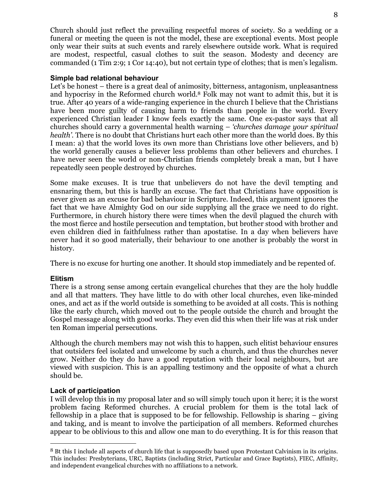Church should just reflect the prevailing respectful mores of society. So a wedding or a funeral or meeting the queen is not the model, these are exceptional events. Most people only wear their suits at such events and rarely elsewhere outside work. What is required are modest, respectful, casual clothes to suit the season. Modesty and decency are commanded (1 Tim 2:9; 1 Cor 14:40), but not certain type of clothes; that is men's legalism.

#### **Simple bad relational behaviour**

Let's be honest – there is a great deal of animosity, bitterness, antagonism, unpleasantness and hypocrisy in the Reformed church world.8 Folk may not want to admit this, but it is true. After 40 years of a wide-ranging experience in the church I believe that the Christians have been more guilty of causing harm to friends than people in the world. Every experienced Christian leader I know feels exactly the same. One ex-pastor says that all churches should carry a governmental health warning – *'churches damage your spiritual health'*. There is no doubt that Christians hurt each other more than the world does. By this I mean: a) that the world loves its own more than Christians love other believers, and b) the world generally causes a believer less problems than other believers and churches. I have never seen the world or non-Christian friends completely break a man, but I have repeatedly seen people destroyed by churches.

Some make excuses. It is true that unbelievers do not have the devil tempting and ensnaring them, but this is hardly an excuse. The fact that Christians have opposition is never given as an excuse for bad behaviour in Scripture. Indeed, this argument ignores the fact that we have Almighty God on our side supplying all the grace we need to do right. Furthermore, in church history there were times when the devil plagued the church with the most fierce and hostile persecution and temptation, but brother stood with brother and even children died in faithfulness rather than apostatise. In a day when believers have never had it so good materially, their behaviour to one another is probably the worst in history.

There is no excuse for hurting one another. It should stop immediately and be repented of.

#### **Elitism**

 $\overline{a}$ 

There is a strong sense among certain evangelical churches that they are the holy huddle and all that matters. They have little to do with other local churches, even like-minded ones, and act as if the world outside is something to be avoided at all costs. This is nothing like the early church, which moved out to the people outside the church and brought the Gospel message along with good works. They even did this when their life was at risk under ten Roman imperial persecutions.

Although the church members may not wish this to happen, such elitist behaviour ensures that outsiders feel isolated and unwelcome by such a church, and thus the churches never grow. Neither do they do have a good reputation with their local neighbours, but are viewed with suspicion. This is an appalling testimony and the opposite of what a church should be.

#### **Lack of participation**

I will develop this in my proposal later and so will simply touch upon it here; it is the worst problem facing Reformed churches. A crucial problem for them is the total lack of fellowship in a place that is supposed to be for fellowship. Fellowship is sharing – giving and taking, and is meant to involve the participation of all members. Reformed churches appear to be oblivious to this and allow one man to do everything. It is for this reason that

<sup>8</sup> Bt this I include all aspects of church life that is supposedly based upon Protestant Calvinism in its origins. This includes: Presbyterians, URC, Baptists (including Strict, Particular and Grace Baptists), FIEC, Affinity, and independent evangelical churches with no affiliations to a network.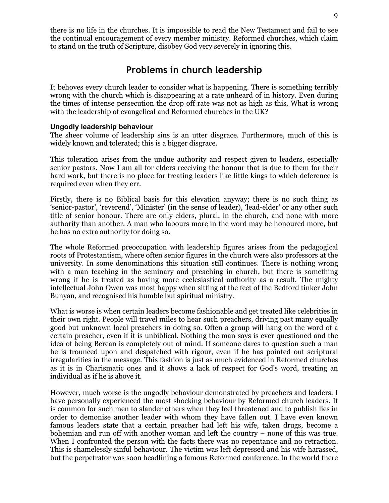there is no life in the churches. It is impossible to read the New Testament and fail to see the continual encouragement of every member ministry. Reformed churches, which claim to stand on the truth of Scripture, disobey God very severely in ignoring this.

### **Problems in church leadership**

It behoves every church leader to consider what is happening. There is something terribly wrong with the church which is disappearing at a rate unheard of in history. Even during the times of intense persecution the drop off rate was not as high as this. What is wrong with the leadership of evangelical and Reformed churches in the UK?

#### **Ungodly leadership behaviour**

The sheer volume of leadership sins is an utter disgrace. Furthermore, much of this is widely known and tolerated; this is a bigger disgrace.

This toleration arises from the undue authority and respect given to leaders, especially senior pastors. Now I am all for elders receiving the honour that is due to them for their hard work, but there is no place for treating leaders like little kings to which deference is required even when they err.

Firstly, there is no Biblical basis for this elevation anyway; there is no such thing as 'senior-pastor', 'reverend', 'Minister' (in the sense of leader), 'lead-elder' or any other such title of senior honour. There are only elders, plural, in the church, and none with more authority than another. A man who labours more in the word may be honoured more, but he has no extra authority for doing so.

The whole Reformed preoccupation with leadership figures arises from the pedagogical roots of Protestantism, where often senior figures in the church were also professors at the university. In some denominations this situation still continues. There is nothing wrong with a man teaching in the seminary and preaching in church, but there is something wrong if he is treated as having more ecclesiastical authority as a result. The mighty intellectual John Owen was most happy when sitting at the feet of the Bedford tinker John Bunyan, and recognised his humble but spiritual ministry.

What is worse is when certain leaders become fashionable and get treated like celebrities in their own right. People will travel miles to hear such preachers, driving past many equally good but unknown local preachers in doing so. Often a group will hang on the word of a certain preacher, even if it is unbiblical. Nothing the man says is ever questioned and the idea of being Berean is completely out of mind. If someone dares to question such a man he is trounced upon and despatched with rigour, even if he has pointed out scriptural irregularities in the message. This fashion is just as much evidenced in Reformed churches as it is in Charismatic ones and it shows a lack of respect for God's word, treating an individual as if he is above it.

However, much worse is the ungodly behaviour demonstrated by preachers and leaders. I have personally experienced the most shocking behaviour by Reformed church leaders. It is common for such men to slander others when they feel threatened and to publish lies in order to demonise another leader with whom they have fallen out. I have even known famous leaders state that a certain preacher had left his wife, taken drugs, become a bohemian and run off with another woman and left the country – none of this was true. When I confronted the person with the facts there was no repentance and no retraction. This is shamelessly sinful behaviour. The victim was left depressed and his wife harassed, but the perpetrator was soon headlining a famous Reformed conference. In the world there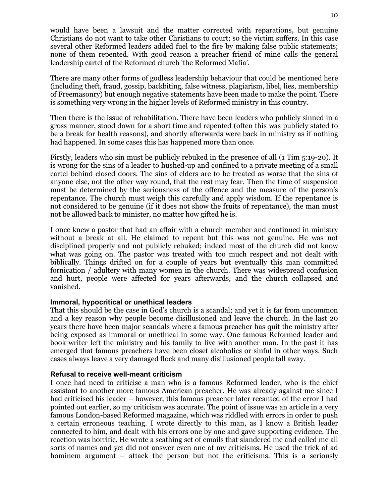would have been a lawsuit and the matter corrected with reparations, but genuine Christians do not want to take other Christians to court; so the victim suffers. In this case several other Reformed leaders added fuel to the fire by making false public statements; none of them repented. With good reason a preacher friend of mine calls the general leadership cartel of the Reformed church 'the Reformed Mafia'.

There are many other forms of godless leadership behaviour that could be mentioned here (including theft, fraud, gossip, backbiting, false witness, plagiarism, libel, lies, membership of Freemasonry) but enough negative statements have been made to make the point. There is something very wrong in the higher levels of Reformed ministry in this country.

Then there is the issue of rehabilitation. There have been leaders who publicly sinned in a gross manner, stood down for a short time and repented (often this was publicly stated to be a break for health reasons), and shortly afterwards were back in ministry as if nothing had happened. In some cases this has happened more than once.

Firstly, leaders who sin must be publicly rebuked in the presence of all (1 Tim 5:19-20). It is wrong for the sins of a leader to hushed-up and confined to a private meeting of a small cartel behind closed doors. The sins of elders are to be treated as worse that the sins of anyone else, not the other way round, that the rest may fear. Then the time of suspension must be determined by the seriousness of the offence and the measure of the person's repentance. The church must weigh this carefully and apply wisdom. If the repentance is not considered to be genuine (if it does not show the fruits of repentance), the man must not be allowed back to minister, no matter how gifted he is.

I once knew a pastor that had an affair with a church member and continued in ministry without a break at all. He claimed to repent but this was not genuine. He was not disciplined properly and not publicly rebuked; indeed most of the church did not know what was going on. The pastor was treated with too much respect and not dealt with biblically. Things drifted on for a couple of years but eventually this man committed fornication / adultery with many women in the church. There was widespread confusion and hurt, people were affected for years afterwards, and the church collapsed and vanished.

#### **Immoral, hypocritical or unethical leaders**

That this should be the case in God's church is a scandal; and yet it is far from uncommon and a key reason why people become disillusioned and leave the church. In the last 20 years there have been major scandals where a famous preacher has quit the ministry after being exposed as immoral or unethical in some way. One famous Reformed leader and book writer left the ministry and his family to live with another man. In the past it has emerged that famous preachers have been closet alcoholics or sinful in other ways. Such cases always leave a very damaged flock and many disillusioned people fall away.

#### **Refusal to receive well-meant criticism**

I once had need to criticise a man who is a famous Reformed leader, who is the chief assistant to another more famous American preacher. He was already against me since I had criticised his leader – however, this famous preacher later recanted of the error I had pointed out earlier, so my criticism was accurate. The point of issue was an article in a very famous London-based Reformed magazine, which was riddled with errors in order to push a certain erroneous teaching. I wrote directly to this man, as I know a British leader connected to him, and dealt with his errors one by one and gave supporting evidence. The reaction was horrific. He wrote a scathing set of emails that slandered me and called me all sorts of names and yet did not answer even one of my criticisms. He used the trick of ad hominem argument – attack the person but not the criticisms. This is a seriously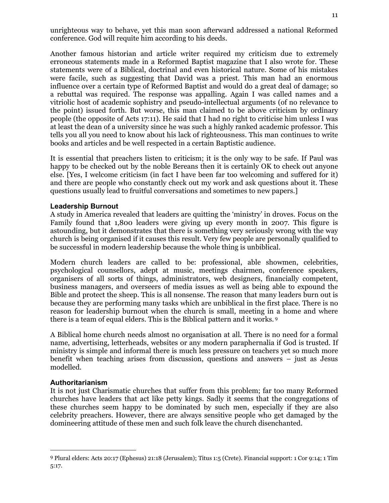unrighteous way to behave, yet this man soon afterward addressed a national Reformed conference. God will requite him according to his deeds.

Another famous historian and article writer required my criticism due to extremely erroneous statements made in a Reformed Baptist magazine that I also wrote for. These statements were of a Biblical, doctrinal and even historical nature. Some of his mistakes were facile, such as suggesting that David was a priest. This man had an enormous influence over a certain type of Reformed Baptist and would do a great deal of damage; so a rebuttal was required. The response was appalling. Again I was called names and a vitriolic host of academic sophistry and pseudo-intellectual arguments (of no relevance to the point) issued forth. But worse, this man claimed to be above criticism by ordinary people (the opposite of Acts 17:11). He said that I had no right to criticise him unless I was at least the dean of a university since he was such a highly ranked academic professor. This tells you all you need to know about his lack of righteousness. This man continues to write books and articles and be well respected in a certain Baptistic audience.

It is essential that preachers listen to criticism; it is the only way to be safe. If Paul was happy to be checked out by the noble Bereans then it is certainly OK to check out anyone else. [Yes, I welcome criticism (in fact I have been far too welcoming and suffered for it) and there are people who constantly check out my work and ask questions about it. These questions usually lead to fruitful conversations and sometimes to new papers.]

#### **Leadership Burnout**

A study in America revealed that leaders are quitting the 'ministry' in droves. Focus on the Family found that 1,800 leaders were giving up every month in 2007. This figure is astounding, but it demonstrates that there is something very seriously wrong with the way church is being organised if it causes this result. Very few people are personally qualified to be successful in modern leadership because the whole thing is unbiblical.

Modern church leaders are called to be: professional, able showmen, celebrities, psychological counsellors, adept at music, meetings chairmen, conference speakers, organisers of all sorts of things, administrators, web designers, financially competent, business managers, and overseers of media issues as well as being able to expound the Bible and protect the sheep. This is all nonsense. The reason that many leaders burn out is because they are performing many tasks which are unbiblical in the first place. There is no reason for leadership burnout when the church is small, meeting in a home and where there is a team of equal elders. This is the Biblical pattern and it works.<sup>9</sup>

A Biblical home church needs almost no organisation at all. There is no need for a formal name, advertising, letterheads, websites or any modern paraphernalia if God is trusted. If ministry is simple and informal there is much less pressure on teachers yet so much more benefit when teaching arises from discussion, questions and answers – just as Jesus modelled.

#### **Authoritarianism**

 $\ddot{\phantom{a}}$ 

It is not just Charismatic churches that suffer from this problem; far too many Reformed churches have leaders that act like petty kings. Sadly it seems that the congregations of these churches seem happy to be dominated by such men, especially if they are also celebrity preachers. However, there are always sensitive people who get damaged by the domineering attitude of these men and such folk leave the church disenchanted.

<sup>9</sup> Plural elders: Acts 20:17 (Ephesus) 21:18 (Jerusalem); Titus 1:5 (Crete). Financial support: 1 Cor 9:14; 1 Tim 5:17.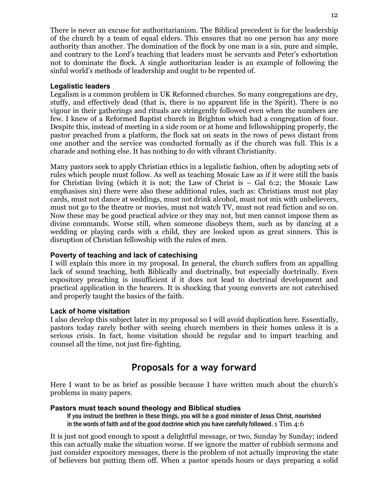There is never an excuse for authoritarianism. The Biblical precedent is for the leadership of the church by a team of equal elders. This ensures that no one person has any more authority than another. The domination of the flock by one man is a sin, pure and simple, and contrary to the Lord's teaching that leaders must be servants and Peter's exhortation not to dominate the flock. A single authoritarian leader is an example of following the sinful world's methods of leadership and ought to be repented of.

#### **Legalistic leaders**

Legalism is a common problem in UK Reformed churches. So many congregations are dry, stuffy, and effectively dead (that is, there is no apparent life in the Spirit). There is no vigour in their gatherings and rituals are stringently followed even when the numbers are few. I knew of a Reformed Baptist church in Brighton which had a congregation of four. Despite this, instead of meeting in a side room or at home and fellowshipping properly, the pastor preached from a platform, the flock sat on seats in the rows of pews distant from one another and the service was conducted formally as if the church was full. This is a charade and nothing else. It has nothing to do with vibrant Christianity.

Many pastors seek to apply Christian ethics in a legalistic fashion, often by adopting sets of rules which people must follow. As well as teaching Mosaic Law as if it were still the basis for Christian living (which it is not; the Law of Christ is – Gal 6:2; the Mosaic Law emphasises sin) there were also these additional rules, such as: Christians must not play cards, must not dance at weddings, must not drink alcohol, must not mix with unbelievers, must not go to the theatre or movies, must not watch TV, must not read fiction and so on. Now these may be good practical advice or they may not, but men cannot impose them as divine commands. Worse still, when someone disobeys them, such as by dancing at a wedding or playing cards with a child, they are looked upon as great sinners. This is disruption of Christian fellowship with the rules of men.

#### **Poverty of teaching and lack of catechising**

I will explain this more in my proposal. In general, the church suffers from an appalling lack of sound teaching, both Biblically and doctrinally, but especially doctrinally. Even expository preaching is insufficient if it does not lead to doctrinal development and practical application in the hearers. It is shocking that young converts are not catechised and properly taught the basics of the faith.

#### **Lack of home visitation**

I also develop this subject later in my proposal so I will avoid duplication here. Essentially, pastors today rarely bother with seeing church members in their homes unless it is a serious crisis. In fact, home visitation should be regular and to impart teaching and counsel all the time, not just fire-fighting.

## **Proposals for a way forward**

Here I want to be as brief as possible because I have written much about the church's problems in many papers.

#### **Pastors must teach sound theology and Biblical studies**

If you instruct the brethren in these things, you will be a good minister of Jesus Christ, nourished in the words of faith and of the good doctrine which you have carefully followed. 1  $\mathrm{Tim}$  4:6

It is just not good enough to spout a delightful message, or two, Sunday by Sunday; indeed this can actually make the situation worse. If we ignore the matter of rubbish sermons and just consider expository messages, there is the problem of not actually improving the state of believers but putting them off. When a pastor spends hours or days preparing a solid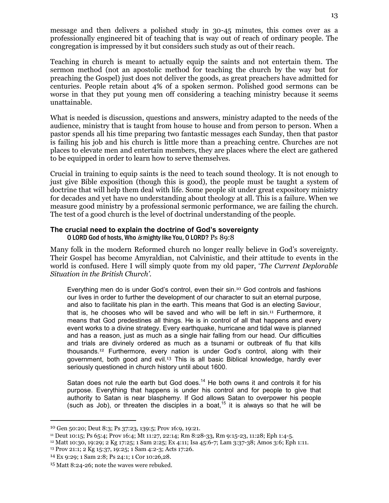message and then delivers a polished study in 30-45 minutes, this comes over as a professionally engineered bit of teaching that is way out of reach of ordinary people. The congregation is impressed by it but considers such study as out of their reach.

Teaching in church is meant to actually equip the saints and not entertain them. The sermon method (not an apostolic method for teaching the church by the way but for preaching the Gospel) just does not deliver the goods, as great preachers have admitted for centuries. People retain about 4% of a spoken sermon. Polished good sermons can be worse in that they put young men off considering a teaching ministry because it seems unattainable.

What is needed is discussion, questions and answers, ministry adapted to the needs of the audience, ministry that is taught from house to house and from person to person. When a pastor spends all his time preparing two fantastic messages each Sunday, then that pastor is failing his job and his church is little more than a preaching centre. Churches are not places to elevate men and entertain members, they are places where the elect are gathered to be equipped in order to learn how to serve themselves.

Crucial in training to equip saints is the need to teach sound theology. It is not enough to just give Bible exposition (though this is good), the people must be taught a system of doctrine that will help them deal with life. Some people sit under great expository ministry for decades and yet have no understanding about theology at all. This is a failure. When we measure good ministry by a professional sermonic performance, we are failing the church. The test of a good church is the level of doctrinal understanding of the people.

#### **The crucial need to explain the doctrine of God's sovereignty**  O LORD God of hosts, Who is mighty like You, O LORD? Ps 89:8

Many folk in the modern Reformed church no longer really believe in God's sovereignty. Their Gospel has become Amyraldian, not Calvinistic, and their attitude to events in the world is confused. Here I will simply quote from my old paper, '*The Current Deplorable Situation in the British Church'*.

Everything men do is under God's control, even their sin.10 God controls and fashions our lives in order to further the development of our character to suit an eternal purpose, and also to facilitate his plan in the earth. This means that God is an electing Saviour, that is, he chooses who will be saved and who will be left in sin.11 Furthermore, it means that God predestines all things. He is in control of all that happens and every event works to a divine strategy. Every earthquake, hurricane and tidal wave is planned and has a reason, just as much as a single hair falling from our head. Our difficulties and trials are divinely ordered as much as a tsunami or outbreak of flu that kills thousands.12 Furthermore, every nation is under God's control, along with their government, both good and evil.13 This is all basic Biblical knowledge, hardly ever seriously questioned in church history until about 1600.

Satan does not rule the earth but God does.<sup>14</sup> He both owns it and controls it for his purpose. Everything that happens is under his control and for people to give that authority to Satan is near blasphemy. If God allows Satan to overpower his people (such as Job), or threaten the disciples in a boat,<sup>15</sup> it is always so that he will be

 $\ddot{\phantom{a}}$ 

<sup>10</sup> Gen 50:20; Deut 8:3; Ps 37:23, 139:5; Prov 16:9, 19:21.

<sup>11</sup> Deut 10:15; Ps 65:4; Prov 16:4; Mt 11:27, 22:14; Rm 8:28-33, Rm 9:15-23, 11:28; Eph 1:4-5.

<sup>12</sup> Matt 10:30, 19:29; 2 Kg 17:25; 1 Sam 2:25; Ex 4:11; Isa 45:6-7; Lam 3:37-38; Amos 3:6; Eph 1:11.

<sup>13</sup> Prov 21:1; 2 Kg 15:37, 19:25; 1 Sam 4:2-3; Acts 17:26.

<sup>14</sup> Ex 9:29; 1 Sam 2:8; Ps 24:1; 1 Cor 10:26,28.

<sup>15</sup> Matt 8:24-26; note the waves were rebuked.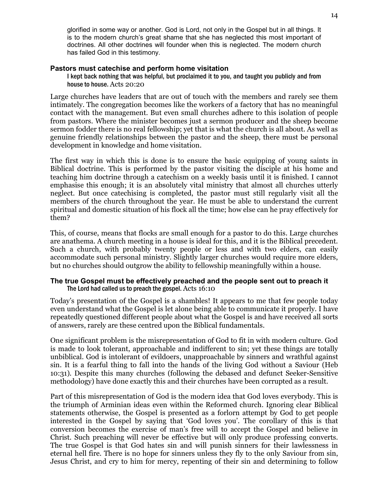glorified in some way or another. God is Lord, not only in the Gospel but in all things. It is to the modern church's great shame that she has neglected this most important of doctrines. All other doctrines will founder when this is neglected. The modern church has failed God in this testimony.

#### **Pastors must catechise and perform home visitation**

I kept back nothing that was helpful, but proclaimed it to you, and taught you publicly and from house to house. Acts 20:20

Large churches have leaders that are out of touch with the members and rarely see them intimately. The congregation becomes like the workers of a factory that has no meaningful contact with the management. But even small churches adhere to this isolation of people from pastors. Where the minister becomes just a sermon producer and the sheep become sermon fodder there is no real fellowship; yet that is what the church is all about. As well as genuine friendly relationships between the pastor and the sheep, there must be personal development in knowledge and home visitation.

The first way in which this is done is to ensure the basic equipping of young saints in Biblical doctrine. This is performed by the pastor visiting the disciple at his home and teaching him doctrine through a catechism on a weekly basis until it is finished. I cannot emphasise this enough; it is an absolutely vital ministry that almost all churches utterly neglect. But once catechising is completed, the pastor must still regularly visit all the members of the church throughout the year. He must be able to understand the current spiritual and domestic situation of his flock all the time; how else can he pray effectively for them?

This, of course, means that flocks are small enough for a pastor to do this. Large churches are anathema. A church meeting in a house is ideal for this, and it is the Biblical precedent. Such a church, with probably twenty people or less and with two elders, can easily accommodate such personal ministry. Slightly larger churches would require more elders, but no churches should outgrow the ability to fellowship meaningfully within a house.

#### **The true Gospel must be effectively preached and the people sent out to preach it**  The Lord had called us to preach the gospel. Acts 16:10

Today's presentation of the Gospel is a shambles! It appears to me that few people today even understand what the Gospel is let alone being able to communicate it properly. I have repeatedly questioned different people about what the Gospel is and have received all sorts of answers, rarely are these centred upon the Biblical fundamentals.

One significant problem is the misrepresentation of God to fit in with modern culture. God is made to look tolerant, approachable and indifferent to sin; yet these things are totally unbiblical. God is intolerant of evildoers, unapproachable by sinners and wrathful against sin. It is a fearful thing to fall into the hands of the living God without a Saviour (Heb 10:31). Despite this many churches (following the debased and defunct Seeker-Sensitive methodology) have done exactly this and their churches have been corrupted as a result.

Part of this misrepresentation of God is the modern idea that God loves everybody. This is the triumph of Arminian ideas even within the Reformed church. Ignoring clear Biblical statements otherwise, the Gospel is presented as a forlorn attempt by God to get people interested in the Gospel by saying that 'God loves you'. The corollary of this is that conversion becomes the exercise of man's free will to accept the Gospel and believe in Christ. Such preaching will never be effective but will only produce professing converts. The true Gospel is that God hates sin and will punish sinners for their lawlessness in eternal hell fire. There is no hope for sinners unless they fly to the only Saviour from sin, Jesus Christ, and cry to him for mercy, repenting of their sin and determining to follow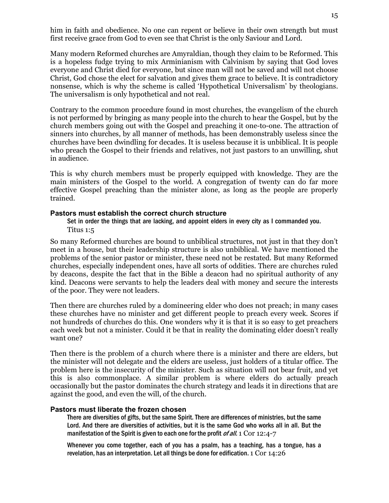him in faith and obedience. No one can repent or believe in their own strength but must first receive grace from God to even see that Christ is the only Saviour and Lord.

Many modern Reformed churches are Amyraldian, though they claim to be Reformed. This is a hopeless fudge trying to mix Arminianism with Calvinism by saying that God loves everyone and Christ died for everyone, but since man will not be saved and will not choose Christ, God chose the elect for salvation and gives them grace to believe. It is contradictory nonsense, which is why the scheme is called 'Hypothetical Universalism' by theologians. The universalism is only hypothetical and not real.

Contrary to the common procedure found in most churches, the evangelism of the church is not performed by bringing as many people into the church to hear the Gospel, but by the church members going out with the Gospel and preaching it one-to-one. The attraction of sinners into churches, by all manner of methods, has been demonstrably useless since the churches have been dwindling for decades. It is useless because it is unbiblical. It is people who preach the Gospel to their friends and relatives, not just pastors to an unwilling, shut in audience.

This is why church members must be properly equipped with knowledge. They are the main ministers of the Gospel to the world. A congregation of twenty can do far more effective Gospel preaching than the minister alone, as long as the people are properly trained.

#### **Pastors must establish the correct church structure**

Set in order the things that are lacking, and appoint elders in every city as I commanded you. Titus 1:5

So many Reformed churches are bound to unbiblical structures, not just in that they don't meet in a house, but their leadership structure is also unbiblical. We have mentioned the problems of the senior pastor or minister, these need not be restated. But many Reformed churches, especially independent ones, have all sorts of oddities. There are churches ruled by deacons, despite the fact that in the Bible a deacon had no spiritual authority of any kind. Deacons were servants to help the leaders deal with money and secure the interests of the poor. They were not leaders.

Then there are churches ruled by a domineering elder who does not preach; in many cases these churches have no minister and get different people to preach every week. Scores if not hundreds of churches do this. One wonders why it is that it is so easy to get preachers each week but not a minister. Could it be that in reality the dominating elder doesn't really want one?

Then there is the problem of a church where there is a minister and there are elders, but the minister will not delegate and the elders are useless, just holders of a titular office. The problem here is the insecurity of the minister. Such as situation will not bear fruit, and yet this is also commonplace. A similar problem is where elders do actually preach occasionally but the pastor dominates the church strategy and leads it in directions that are against the good, and even the will, of the church.

#### **Pastors must liberate the frozen chosen**

There are diversities of gifts, but the same Spirit. There are differences of ministries, but the same Lord. And there are diversities of activities, but it is the same God who works all in all. But the manifestation of the Spirit is given to each one for the profit of all. 1 Cor 12:4-7

Whenever you come together, each of you has a psalm, has a teaching, has a tongue, has a revelation, has an interpretation. Let all things be done for edification. 1 Cor 14:26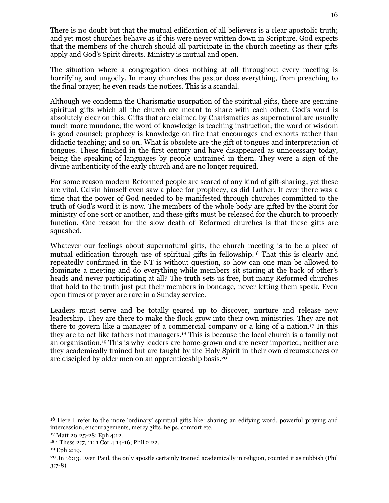There is no doubt but that the mutual edification of all believers is a clear apostolic truth; and yet most churches behave as if this were never written down in Scripture. God expects that the members of the church should all participate in the church meeting as their gifts apply and God's Spirit directs. Ministry is mutual and open.

The situation where a congregation does nothing at all throughout every meeting is horrifying and ungodly. In many churches the pastor does everything, from preaching to the final prayer; he even reads the notices. This is a scandal.

Although we condemn the Charismatic usurpation of the spiritual gifts, there are genuine spiritual gifts which all the church are meant to share with each other. God's word is absolutely clear on this. Gifts that are claimed by Charismatics as supernatural are usually much more mundane; the word of knowledge is teaching instruction; the word of wisdom is good counsel; prophecy is knowledge on fire that encourages and exhorts rather than didactic teaching; and so on. What is obsolete are the gift of tongues and interpretation of tongues. These finished in the first century and have disappeared as unnecessary today, being the speaking of languages by people untrained in them. They were a sign of the divine authenticity of the early church and are no longer required.

For some reason modern Reformed people are scared of any kind of gift-sharing; yet these are vital. Calvin himself even saw a place for prophecy, as did Luther. If ever there was a time that the power of God needed to be manifested through churches committed to the truth of God's word it is now. The members of the whole body are gifted by the Spirit for ministry of one sort or another, and these gifts must be released for the church to properly function. One reason for the slow death of Reformed churches is that these gifts are squashed.

Whatever our feelings about supernatural gifts, the church meeting is to be a place of mutual edification through use of spiritual gifts in fellowship.16 That this is clearly and repeatedly confirmed in the NT is without question, so how can one man be allowed to dominate a meeting and do everything while members sit staring at the back of other's heads and never participating at all? The truth sets us free, but many Reformed churches that hold to the truth just put their members in bondage, never letting them speak. Even open times of prayer are rare in a Sunday service.

Leaders must serve and be totally geared up to discover, nurture and release new leadership. They are there to make the flock grow into their own ministries. They are not there to govern like a manager of a commercial company or a king of a nation.17 In this they are to act like fathers not managers.18 This is because the local church is a family not an organisation.19 This is why leaders are home-grown and are never imported; neither are they academically trained but are taught by the Holy Spirit in their own circumstances or are discipled by older men on an apprenticeship basis.<sup>20</sup>

 $\ddot{\phantom{a}}$ 

<sup>16</sup> Here I refer to the more 'ordinary' spiritual gifts like: sharing an edifying word, powerful praying and intercession, encouragements, mercy gifts, helps, comfort etc.

<sup>17</sup> Matt 20:25-28; Eph 4:12.

<sup>18</sup> 1 Thess 2:7, 11; 1 Cor 4:14-16; Phil 2:22.

<sup>19</sup> Eph 2:19.

<sup>20</sup> Jn 16:13. Even Paul, the only apostle certainly trained academically in religion, counted it as rubbish (Phil 3:7-8).